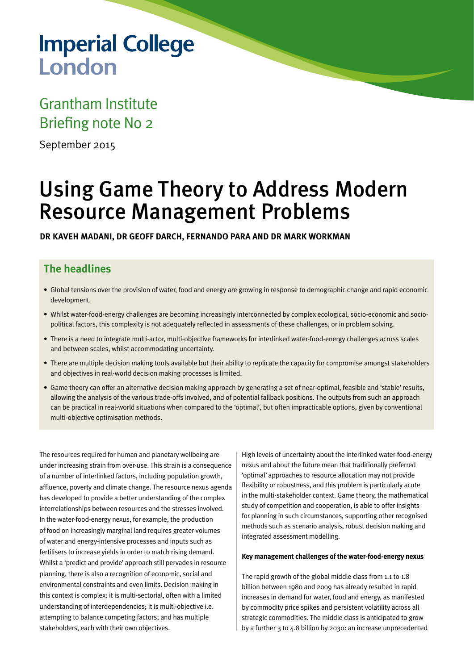# **Imperial College** London

## Grantham Institute Briefing note No 2

September 2015

## Using Game Theory to Address Modern Resource Management Problems

**DR KAVEH MADANI, DR GEOFF DARCH, FERNANDO PARA AND DR MARK WORKMAN**

### **The headlines**

- • Global tensions over the provision of water, food and energy are growing in response to demographic change and rapid economic development.
- • Whilst water-food-energy challenges are becoming increasingly interconnected by complex ecological, socio-economic and sociopolitical factors, this complexity is not adequately reflected in assessments of these challenges, or in problem solving.
- • There is a need to integrate multi-actor, multi-objective frameworks for interlinked water-food-energy challenges across scales and between scales, whilst accommodating uncertainty.
- There are multiple decision making tools available but their ability to replicate the capacity for compromise amongst stakeholders and objectives in real-world decision making processes is limited.
- • Game theory can offer an alternative decision making approach by generating a set of near-optimal, feasible and 'stable'results, allowing the analysis of the various trade-offs involved, and of potential fallback positions. The outputs from such an approach can be practical in real-world situations when compared to the 'optimal', but often impracticable options, given by conventional multi-objective optimisation methods.

The resources required for human and planetary wellbeing are under increasing strain from over-use. This strain is a consequence of a number of interlinked factors, including population growth, affluence, poverty and climate change. The resource nexus agenda has developed to provide a better understanding of the complex interrelationships between resources and the stresses involved. In the water-food-energy nexus, for example, the production of food on increasingly marginal land requires greater volumes of water and energy-intensive processes and inputs such as fertilisers to increase yields in order to match rising demand. Whilst a 'predict and provide' approach still pervades in resource planning, there is also a recognition of economic, social and environmental constraints and even limits. Decision making in this context is complex: it is multi-sectorial, often with a limited understanding of interdependencies; it is multi-objective i.e. attempting to balance competing factors; and has multiple stakeholders, each with their own objectives.

High levels of uncertainty about the interlinked water-food-energy nexus and about the future mean that traditionally preferred 'optimal' approaches to resource allocation may not provide flexibility or robustness, and this problem is particularly acute in the multi-stakeholder context. Game theory, the mathematical study of competition and cooperation, is able to offer insights for planning in such circumstances, supporting other recognised methods such as scenario analysis, robust decision making and integrated assessment modelling.

#### **Key management challenges of the water-food-energy nexus**

The rapid growth of the global middle class from 1.1 to 1.8 billion between 1980 and 2009 has already resulted in rapid increases in demand for water, food and energy, as manifested by commodity price spikes and persistent volatility across all strategic commodities. The middle class is anticipated to grow by a further 3 to 4.8 billion by 2030: an increase unprecedented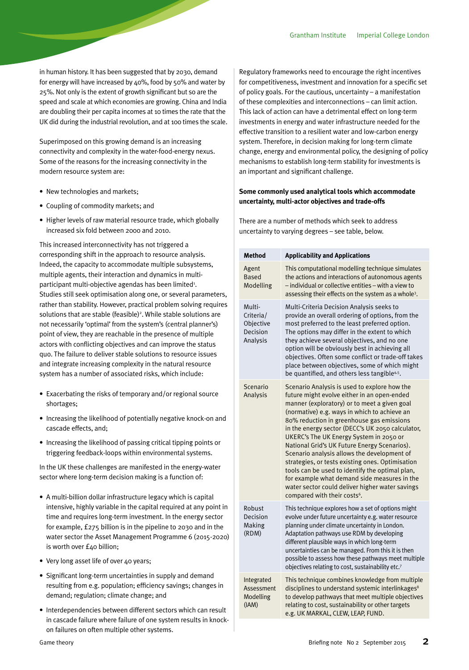in human history. It has been suggested that by 2030, demand for energy will have increased by 40%, food by 50% and water by 25%. Not only is the extent of growth significant but so are the speed and scale at which economies are growing. China and India are doubling their per capita incomes at 10 times the rate that the UK did during the industrial revolution, and at 100 times the scale.

Superimposed on this growing demand is an increasing connectivity and complexity in the water-food-energy nexus. Some of the reasons for the increasing connectivity in the modern resource system are:

- New technologies and markets;
- • Coupling of commodity markets; and
- Higher levels of raw material resource trade, which globally increased six fold between 2000 and 2010.

This increased interconnectivity has not triggered a corresponding shift in the approach to resource analysis. Indeed, the capacity to accommodate multiple subsystems, multiple agents, their interaction and dynamics in multiparticipant multi-objective agendas has been limited<sup>1</sup>. Studies still seek optimisation along one, or several parameters, rather than stability. However, practical problem solving requires solutions that are stable (feasible)<sup>2</sup>. While stable solutions are not necessarily 'optimal' from the system's (central planner's) point of view, they are reachable in the presence of multiple actors with conflicting objectives and can improve the status quo. The failure to deliver stable solutions to resource issues and integrate increasing complexity in the natural resource system has a number of associated risks, which include:

- Exacerbating the risks of temporary and/or regional source shortages;
- Increasing the likelihood of potentially negative knock-on and cascade effects, and;
- Increasing the likelihood of passing critical tipping points or triggering feedback-loops within environmental systems.

In the UK these challenges are manifested in the energy-water sector where long-term decision making is a function of:

- A multi-billion dollar infrastructure legacy which is capital intensive, highly variable in the capital required at any point in time and requires long-term investment. In the energy sector for example, £275 billion is in the pipeline to 2030 and in the water sector the Asset Management Programme 6 (2015-2020) is worth over £40 billion;
- Very long asset life of over 40 years;
- Significant long-term uncertainties in supply and demand resulting from e.g. population; efficiency savings; changes in demand; regulation; climate change; and
- Interdependencies between different sectors which can result in cascade failure where failure of one system results in knockon failures on often multiple other systems.

Regulatory frameworks need to encourage the right incentives for competitiveness, investment and innovation for a specific set of policy goals. For the cautious, uncertainty – a manifestation of these complexities and interconnections – can limit action. This lack of action can have a detrimental effect on long-term investments in energy and water infrastructure needed for the effective transition to a resilient water and low-carbon energy system. Therefore, in decision making for long-term climate change, energy and environmental policy, the designing of policy mechanisms to establish long-term stability for investments is an important and significant challenge.

#### **Some commonly used analytical tools which accommodate uncertainty, multi-actor objectives and trade-offs**

There are a number of methods which seek to address uncertainty to varying degrees – see table, below.

| Method                                                   | <b>Applicability and Applications</b>                                                                                                                                                                                                                                                                                                                                                                                                                                                                                                                                                                                                                                                        |
|----------------------------------------------------------|----------------------------------------------------------------------------------------------------------------------------------------------------------------------------------------------------------------------------------------------------------------------------------------------------------------------------------------------------------------------------------------------------------------------------------------------------------------------------------------------------------------------------------------------------------------------------------------------------------------------------------------------------------------------------------------------|
| Agent<br><b>Based</b><br>Modelling                       | This computational modelling technique simulates<br>the actions and interactions of autonomous agents<br>- individual or collective entities - with a view to<br>assessing their effects on the system as a whole <sup>3</sup> .                                                                                                                                                                                                                                                                                                                                                                                                                                                             |
| Multi-<br>Criteria/<br>Objective<br>Decision<br>Analysis | Multi-Criteria Decision Analysis seeks to<br>provide an overall ordering of options, from the<br>most preferred to the least preferred option.<br>The options may differ in the extent to which<br>they achieve several objectives, and no one<br>option will be obviously best in achieving all<br>objectives. Often some conflict or trade-off takes<br>place between objectives, some of which might<br>be quantified, and others less tangible <sup>4,5</sup> .                                                                                                                                                                                                                          |
| Scenario<br>Analysis                                     | Scenario Analysis is used to explore how the<br>future might evolve either in an open-ended<br>manner (exploratory) or to meet a given goal<br>(normative) e.g. ways in which to achieve an<br>80% reduction in greenhouse gas emissions<br>in the energy sector (DECC's UK 2050 calculator,<br>UKERC's The UK Energy System in 2050 or<br>National Grid's UK Future Energy Scenarios).<br>Scenario analysis allows the development of<br>strategies, or tests existing ones. Optimisation<br>tools can be used to identify the optimal plan,<br>for example what demand side measures in the<br>water sector could deliver higher water savings<br>compared with their costs <sup>6</sup> . |
| Robust<br>Decision<br>Making<br>(RDM)                    | This technique explores how a set of options might<br>evolve under future uncertainty e.g. water resource<br>planning under climate uncertainty in London.<br>Adaptation pathways use RDM by developing<br>different plausible ways in which long-term<br>uncertainties can be managed. From this it is then<br>possible to assess how these pathways meet multiple<br>objectives relating to cost, sustainability etc.7                                                                                                                                                                                                                                                                     |
| Integrated<br>Assessment<br>Modelling<br>(IAM)           | This technique combines knowledge from multiple<br>disciplines to understand systemic interlinkages <sup>8</sup><br>to develop pathways that meet multiple objectives<br>relating to cost, sustainability or other targets<br>e.g. UK MARKAL, CLEW, LEAP, FUND.                                                                                                                                                                                                                                                                                                                                                                                                                              |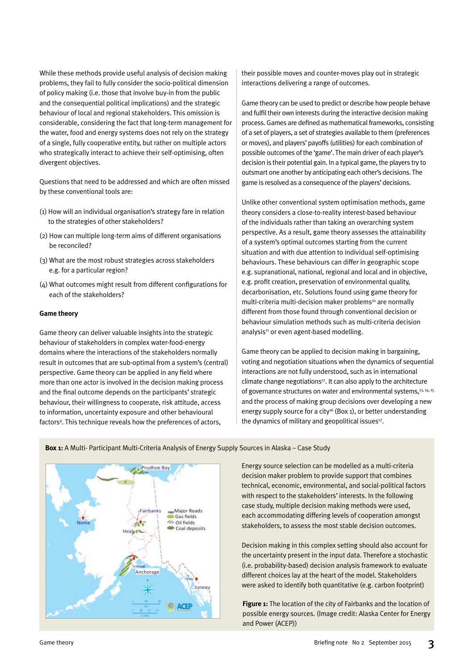While these methods provide useful analysis of decision making problems, they fail to fully consider the socio-political dimension of policy making (i.e. those that involve buy-in from the public and the consequential political implications) and the strategic behaviour of local and regional stakeholders. This omission is considerable, considering the fact that long-term management for the water, food and energy systems does not rely on the strategy of a single, fully cooperative entity, but rather on multiple actors who strategically interact to achieve their self-optimising, often divergent objectives.

Questions that need to be addressed and which are often missed by these conventional tools are:

- (1) How will an individual organisation's strategy fare in relation to the strategies of other stakeholders?
- (2) How can multiple long-term aims of different organisations be reconciled?
- (3) What are the most robust strategies across stakeholders e.g. for a particular region?
- (4) What outcomes might result from different configurations for each of the stakeholders?

#### **Game theory**

Game theory can deliver valuable insights into the strategic behaviour of stakeholders in complex water-food-energy domains where the interactions of the stakeholders normally result in outcomes that are sub-optimal from a system's (central) perspective. Game theory can be applied in any field where more than one actor is involved in the decision making process and the final outcome depends on the participants' strategic behaviour, their willingness to cooperate, risk attitude, access to information, uncertainty exposure and other behavioural factors<sup>9</sup>. This technique reveals how the preferences of actors,

their possible moves and counter-moves play out in strategic interactions delivering a range of outcomes.

Game theory can be used to predict or describe how people behave and fulfil their own interests during the interactive decision making process. Games are defined as mathematical frameworks, consisting of a set of players, a set of strategies available to them (preferences or moves), and players'payoffs (utilities) for each combination of possible outcomes of the 'game'. The main driver of each player's decision is their potential gain. In a typical game, the players try to outsmart one another by anticipating each other's decisions. The game is resolved as a consequence of the players'decisions.

Unlike other conventional system optimisation methods, game theory considers a close-to-reality interest-based behaviour of the individuals rather than taking an overarching system perspective. As a result, game theory assesses the attainability of a system's optimal outcomes starting from the current situation and with due attention to individual self-optimising behaviours. These behaviours can differ in geographic scope e.g. supranational, national, regional and local and in objective, e.g. profit creation, preservation of environmental quality, decarbonisation, etc. Solutions found using game theory for multi-criteria multi-decision maker problems<sup>10</sup> are normally different from those found through conventional decision or behaviour simulation methods such as multi-criteria decision analysis<sup>11</sup> or even agent-based modelling.

Game theory can be applied to decision making in bargaining, voting and negotiation situations when the dynamics of sequential interactions are not fully understood, such as in international climate change negotiations<sup>17</sup>. It can also apply to the architecture of governance structures on water and environmental systems,<sup>13, 14, 15</sup> and the process of making group decisions over developing a new energy supply source for a city<sup>16</sup> (Box 1), or better understanding the dynamics of military and geopolitical issues $27$ .



**Box 1:** A Multi- Participant Multi-Criteria Analysis of Energy Supply Sources in Alaska – Case Study

Energy source selection can be modelled as a multi-criteria decision maker problem to provide support that combines technical, economic, environmental, and social-political factors with respect to the stakeholders' interests. In the following case study, multiple decision making methods were used, each accommodating differing levels of cooperation amongst stakeholders, to assess the most stable decision outcomes.

Decision making in this complex setting should also account for the uncertainty present in the input data. Therefore a stochastic (i.e. probability-based) decision analysis framework to evaluate different choices lay at the heart of the model. Stakeholders were asked to identify both quantitative (e.g. carbon footprint)

**Figure 1:** The location of the city of Fairbanks and the location of possible energy sources. (Image credit: Alaska Center for Energy and Power (ACEP))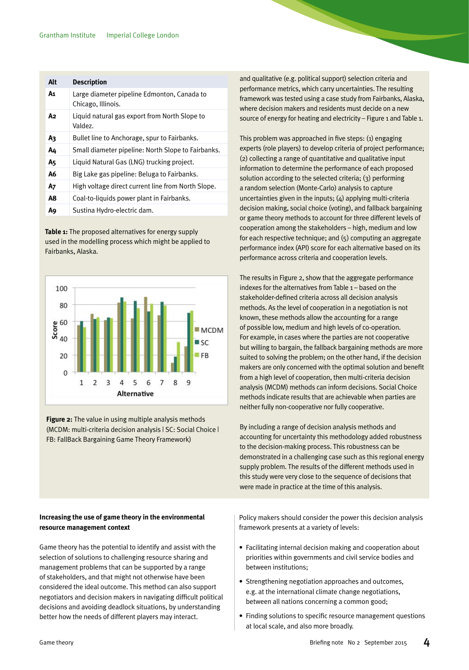| Alt | <b>Description</b>                                                |
|-----|-------------------------------------------------------------------|
| A1  | Large diameter pipeline Edmonton, Canada to<br>Chicago, Illinois. |
| A2  | Liquid natural gas export from North Slope to<br>Valdez.          |
| Aз  | Bullet line to Anchorage, spur to Fairbanks.                      |
| A4  | Small diameter pipeline: North Slope to Fairbanks.                |
| A5  | Liquid Natural Gas (LNG) trucking project.                        |
| А6  | Big Lake gas pipeline: Beluga to Fairbanks.                       |
| A7  | High voltage direct current line from North Slope.                |
| A8  | Coal-to-liquids power plant in Fairbanks.                         |
| A9  | Sustina Hydro-electric dam.                                       |

**Table 1:** The proposed alternatives for energy supply used in the modelling process which might be applied to Fairbanks, Alaska.



**Figure 2:** The value in using multiple analysis methods (MCDM: multi-criteria decision analysis | SC: Social Choice | FB: FallBack Bargaining Game Theory Framework)

#### **Increasing the use of game theory in the environmental resource management context**

Game theory has the potential to identify and assist with the selection of solutions to challenging resource sharing and management problems that can be supported by a range of stakeholders, and that might not otherwise have been considered the ideal outcome. This method can also support negotiators and decision makers in navigating difficult political decisions and avoiding deadlock situations, by understanding better how the needs of different players may interact.

and qualitative (e.g. political support) selection criteria and performance metrics, which carry uncertainties. The resulting framework was tested using a case study from Fairbanks, Alaska, where decision makers and residents must decide on a new source of energy for heating and electricity – Figure 1 and Table 1.

This problem was approached in five steps: (1) engaging experts (role players) to develop criteria of project performance; (2) collecting a range of quantitative and qualitative input information to determine the performance of each proposed solution according to the selected criteria; (3) performing a random selection (Monte-Carlo) analysis to capture uncertainties given in the inputs; (4) applying multi-criteria decision making, social choice (voting), and fallback bargaining or game theory methods to account for three different levels of cooperation among the stakeholders – high, medium and low for each respective technique; and (5) computing an aggregate performance index (API) score for each alternative based on its performance across criteria and cooperation levels.

The results in Figure 2, show that the aggregate performance indexes for the alternatives from Table 1 – based on the stakeholder-defined criteria across all decision analysis methods. As the level of cooperation in a negotiation is not known, these methods allow the accounting for a range of possible low, medium and high levels of co-operation. For example, in cases where the parties are not cooperative but willing to bargain, the fallback bargaining methods are more suited to solving the problem; on the other hand, if the decision makers are only concerned with the optimal solution and benefit from a high level of cooperation, then multi-criteria decision analysis (MCDM) methods can inform decisions. Social Choice methods indicate results that are achievable when parties are neither fully non-cooperative nor fully cooperative.

By including a range of decision analysis methods and accounting for uncertainty this methodology added robustness to the decision-making process. This robustness can be demonstrated in a challenging case such as this regional energy supply problem. The results of the different methods used in this study were very close to the sequence of decisions that were made in practice at the time of this analysis.

Policy makers should consider the power this decision analysis framework presents at a variety of levels:

- Facilitating internal decision making and cooperation about priorities within governments and civil service bodies and between institutions;
- Strengthening negotiation approaches and outcomes, e.g. at the international climate change negotiations, between all nations concerning a common good;
- Finding solutions to specific resource management questions at local scale, and also more broadly.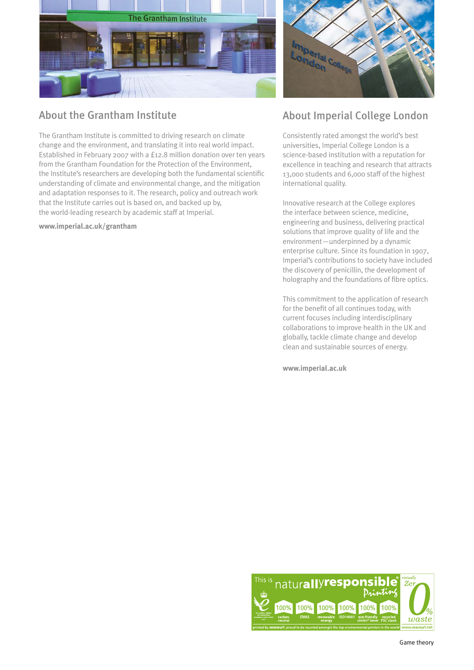

## About the Grantham Institute

The Grantham Institute is committed to driving research on climate change and the environment, and translating it into real world impact. Established in February 2007 with a £12.8 million donation over ten years from the Grantham Foundation for the Protection of the Environment, the Institute's researchers are developing both the fundamental scientific understanding of climate and environmental change, and the mitigation and adaptation responses to it. The research, policy and outreach work that the Institute carries out is based on, and backed up by, the world-leading research by academic staff at Imperial.

**www.imperial.ac.uk/grantham**



## About Imperial College London

Consistently rated amongst the world's best universities, Imperial College London is a science-based institution with a reputation for excellence in teaching and research that attracts 13,000 students and 6,000 staff of the highest international quality.

Innovative research at the College explores the interface between science, medicine, engineering and business, delivering practical solutions that improve quality of life and the environment—underpinned by a dynamic enterprise culture. Since its foundation in 1907, Imperial's contributions to society have included the discovery of penicillin, the development of holography and the foundations of fibre optics.

This commitment to the application of research for the benefit of all continues today, with current focuses including interdisciplinary collaborations to improve health in the UK and globally, tackle climate change and develop clean and sustainable sources of energy.

**www.imperial.ac.uk**